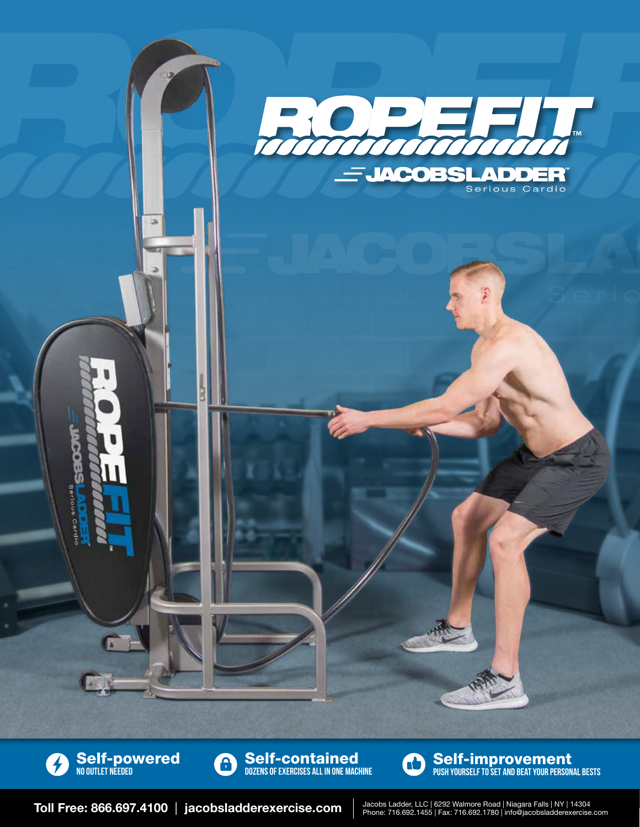



Self-contained A Dozens of exercises all in one machine



Self-improvement Push yourself to set and beat your personal bests

Toll Free: 866.697.4100 | jacobsladderexercise.com

Jacobs Ladder, LLC | 6292 Walmore Road | Niagara Falls | NY | 14304<br>Phone: 716.692.1455 | Fax: 716.692.1780 | info@jacobsladderexercise.com